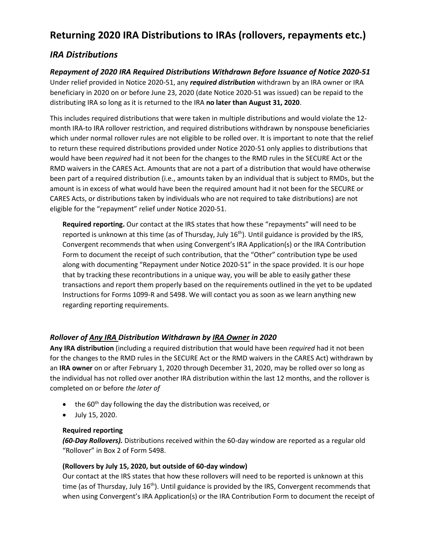# **Returning 2020 IRA Distributions to IRAs (rollovers, repayments etc.)**

# *IRA Distributions*

*Repayment of 2020 IRA Required Distributions Withdrawn Before Issuance of Notice 2020-51* Under relief provided in Notice 2020-51, any *required distribution* withdrawn by an IRA owner or IRA

beneficiary in 2020 on or before June 23, 2020 (date Notice 2020-51 was issued) can be repaid to the distributing IRA so long as it is returned to the IRA **no later than August 31, 2020**.

This includes required distributions that were taken in multiple distributions and would violate the 12 month IRA-to IRA rollover restriction, and required distributions withdrawn by nonspouse beneficiaries which under normal rollover rules are not eligible to be rolled over. It is important to note that the relief to return these required distributions provided under Notice 2020-51 only applies to distributions that would have been *required* had it not been for the changes to the RMD rules in the SECURE Act or the RMD waivers in the CARES Act. Amounts that are not a part of a distribution that would have otherwise been part of a required distribution (i.e., amounts taken by an individual that is subject to RMDs, but the amount is in excess of what would have been the required amount had it not been for the SECURE or CARES Acts, or distributions taken by individuals who are not required to take distributions) are not eligible for the "repayment" relief under Notice 2020-51.

**Required reporting.** Our contact at the IRS states that how these "repayments" will need to be reported is unknown at this time (as of Thursday, July 16<sup>th</sup>). Until guidance is provided by the IRS, Convergent recommends that when using Convergent's IRA Application(s) or the IRA Contribution Form to document the receipt of such contribution, that the "Other" contribution type be used along with documenting "Repayment under Notice 2020-51" in the space provided. It is our hope that by tracking these recontributions in a unique way, you will be able to easily gather these transactions and report them properly based on the requirements outlined in the yet to be updated Instructions for Forms 1099-R and 5498. We will contact you as soon as we learn anything new regarding reporting requirements.

# *Rollover of Any IRA Distribution Withdrawn by IRA Owner in 2020*

**Any IRA distribution** (including a required distribution that would have been *required* had it not been for the changes to the RMD rules in the SECURE Act or the RMD waivers in the CARES Act) withdrawn by an **IRA owner** on or after February 1, 2020 through December 31, 2020, may be rolled over so long as the individual has not rolled over another IRA distribution within the last 12 months, and the rollover is completed on or before *the later of*

- $\bullet$  the 60<sup>th</sup> day following the day the distribution was received, or
- July 15, 2020.

#### **Required reporting**

*(60-Day Rollovers).* Distributions received within the 60-day window are reported as a regular old "Rollover" in Box 2 of Form 5498.

#### **(Rollovers by July 15, 2020, but outside of 60-day window)**

Our contact at the IRS states that how these rollovers will need to be reported is unknown at this time (as of Thursday, July 16<sup>th</sup>). Until guidance is provided by the IRS, Convergent recommends that when using Convergent's IRA Application(s) or the IRA Contribution Form to document the receipt of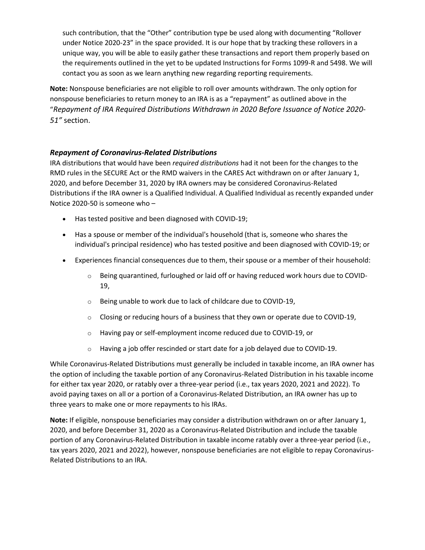such contribution, that the "Other" contribution type be used along with documenting "Rollover under Notice 2020-23" in the space provided. It is our hope that by tracking these rollovers in a unique way, you will be able to easily gather these transactions and report them properly based on the requirements outlined in the yet to be updated Instructions for Forms 1099-R and 5498. We will contact you as soon as we learn anything new regarding reporting requirements.

**Note:** Nonspouse beneficiaries are not eligible to roll over amounts withdrawn. The only option for nonspouse beneficiaries to return money to an IRA is as a "repayment" as outlined above in the "*Repayment of IRA Required Distributions Withdrawn in 2020 Before Issuance of Notice 2020- 51"* section.

## *Repayment of Coronavirus-Related Distributions*

IRA distributions that would have been *required distributions* had it not been for the changes to the RMD rules in the SECURE Act or the RMD waivers in the CARES Act withdrawn on or after January 1, 2020, and before December 31, 2020 by IRA owners may be considered Coronavirus-Related Distributions if the IRA owner is a Qualified Individual. A Qualified Individual as recently expanded under Notice 2020-50 is someone who –

- Has tested positive and been diagnosed with COVID-19;
- Has a spouse or member of the individual's household (that is, someone who shares the individual's principal residence) who has tested positive and been diagnosed with COVID-19; or
- Experiences financial consequences due to them, their spouse or a member of their household:
	- $\circ$  Being quarantined, furloughed or laid off or having reduced work hours due to COVID-19,
	- o Being unable to work due to lack of childcare due to COVID-19,
	- $\circ$  Closing or reducing hours of a business that they own or operate due to COVID-19,
	- o Having pay or self-employment income reduced due to COVID-19, or
	- o Having a job offer rescinded or start date for a job delayed due to COVID-19.

While Coronavirus-Related Distributions must generally be included in taxable income, an IRA owner has the option of including the taxable portion of any Coronavirus-Related Distribution in his taxable income for either tax year 2020, or ratably over a three-year period (i.e., tax years 2020, 2021 and 2022). To avoid paying taxes on all or a portion of a Coronavirus-Related Distribution, an IRA owner has up to three years to make one or more repayments to his IRAs.

**Note:** If eligible, nonspouse beneficiaries may consider a distribution withdrawn on or after January 1, 2020, and before December 31, 2020 as a Coronavirus-Related Distribution and include the taxable portion of any Coronavirus-Related Distribution in taxable income ratably over a three-year period (i.e., tax years 2020, 2021 and 2022), however, nonspouse beneficiaries are not eligible to repay Coronavirus-Related Distributions to an IRA.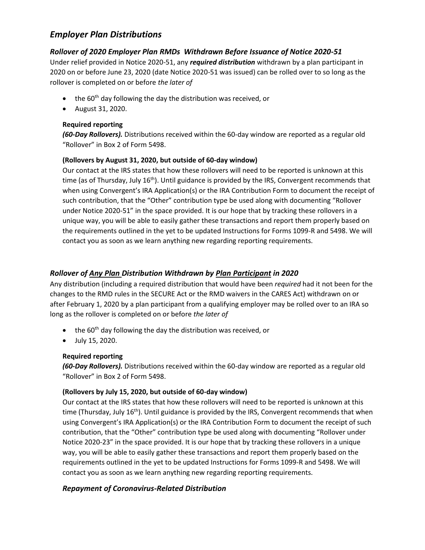# *Employer Plan Distributions*

# *Rollover of 2020 Employer Plan RMDs Withdrawn Before Issuance of Notice 2020-51*

Under relief provided in Notice 2020-51, any *required distribution* withdrawn by a plan participant in 2020 on or before June 23, 2020 (date Notice 2020-51 was issued) can be rolled over to so long as the rollover is completed on or before *the later of*

- $\bullet$  the 60<sup>th</sup> day following the day the distribution was received, or
- August 31, 2020.

### **Required reporting**

*(60-Day Rollovers).* Distributions received within the 60-day window are reported as a regular old "Rollover" in Box 2 of Form 5498.

#### **(Rollovers by August 31, 2020, but outside of 60-day window)**

Our contact at the IRS states that how these rollovers will need to be reported is unknown at this time (as of Thursday, July 16<sup>th</sup>). Until guidance is provided by the IRS, Convergent recommends that when using Convergent's IRA Application(s) or the IRA Contribution Form to document the receipt of such contribution, that the "Other" contribution type be used along with documenting "Rollover under Notice 2020-51" in the space provided. It is our hope that by tracking these rollovers in a unique way, you will be able to easily gather these transactions and report them properly based on the requirements outlined in the yet to be updated Instructions for Forms 1099-R and 5498. We will contact you as soon as we learn anything new regarding reporting requirements.

# *Rollover of Any Plan Distribution Withdrawn by Plan Participant in 2020*

Any distribution (including a required distribution that would have been *required* had it not been for the changes to the RMD rules in the SECURE Act or the RMD waivers in the CARES Act) withdrawn on or after February 1, 2020 by a plan participant from a qualifying employer may be rolled over to an IRA so long as the rollover is completed on or before *the later of*

- the 60<sup>th</sup> day following the day the distribution was received, or
- July 15, 2020.

#### **Required reporting**

*(60-Day Rollovers).* Distributions received within the 60-day window are reported as a regular old "Rollover" in Box 2 of Form 5498.

#### **(Rollovers by July 15, 2020, but outside of 60-day window)**

Our contact at the IRS states that how these rollovers will need to be reported is unknown at this time (Thursday, July 16<sup>th</sup>). Until guidance is provided by the IRS, Convergent recommends that when using Convergent's IRA Application(s) or the IRA Contribution Form to document the receipt of such contribution, that the "Other" contribution type be used along with documenting "Rollover under Notice 2020-23" in the space provided. It is our hope that by tracking these rollovers in a unique way, you will be able to easily gather these transactions and report them properly based on the requirements outlined in the yet to be updated Instructions for Forms 1099-R and 5498. We will contact you as soon as we learn anything new regarding reporting requirements.

# *Repayment of Coronavirus-Related Distribution*